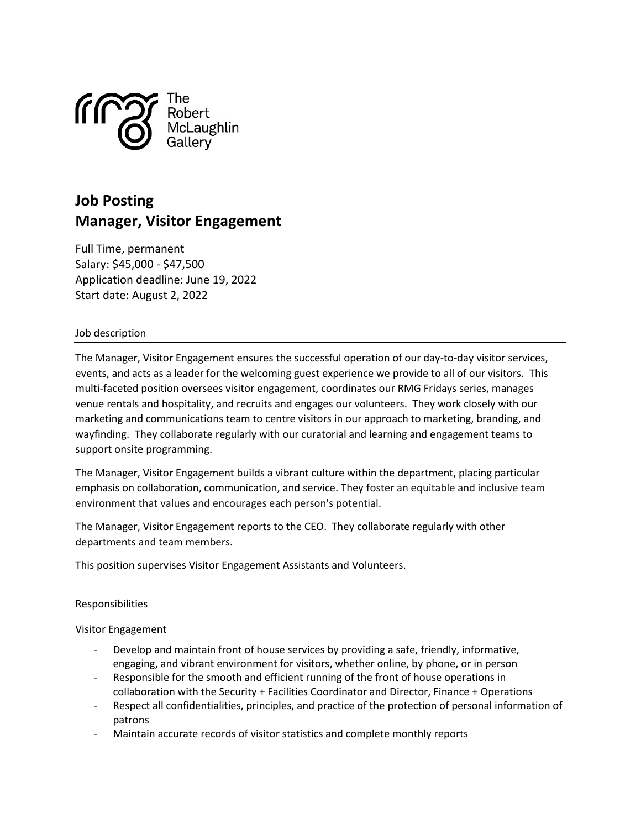

# Job Posting Manager, Visitor Engagement

Full Time, permanent Salary: \$45,000 - \$47,500 Application deadline: June 19, 2022 Start date: August 2, 2022

# Job description

The Manager, Visitor Engagement ensures the successful operation of our day-to-day visitor services, events, and acts as a leader for the welcoming guest experience we provide to all of our visitors. This multi-faceted position oversees visitor engagement, coordinates our RMG Fridays series, manages venue rentals and hospitality, and recruits and engages our volunteers. They work closely with our marketing and communications team to centre visitors in our approach to marketing, branding, and wayfinding. They collaborate regularly with our curatorial and learning and engagement teams to support onsite programming.

The Manager, Visitor Engagement builds a vibrant culture within the department, placing particular emphasis on collaboration, communication, and service. They foster an equitable and inclusive team environment that values and encourages each person's potential.

The Manager, Visitor Engagement reports to the CEO. They collaborate regularly with other departments and team members.

This position supervises Visitor Engagement Assistants and Volunteers.

# Responsibilities

#### Visitor Engagement

- Develop and maintain front of house services by providing a safe, friendly, informative, engaging, and vibrant environment for visitors, whether online, by phone, or in person
- Responsible for the smooth and efficient running of the front of house operations in collaboration with the Security + Facilities Coordinator and Director, Finance + Operations
- Respect all confidentialities, principles, and practice of the protection of personal information of patrons
- Maintain accurate records of visitor statistics and complete monthly reports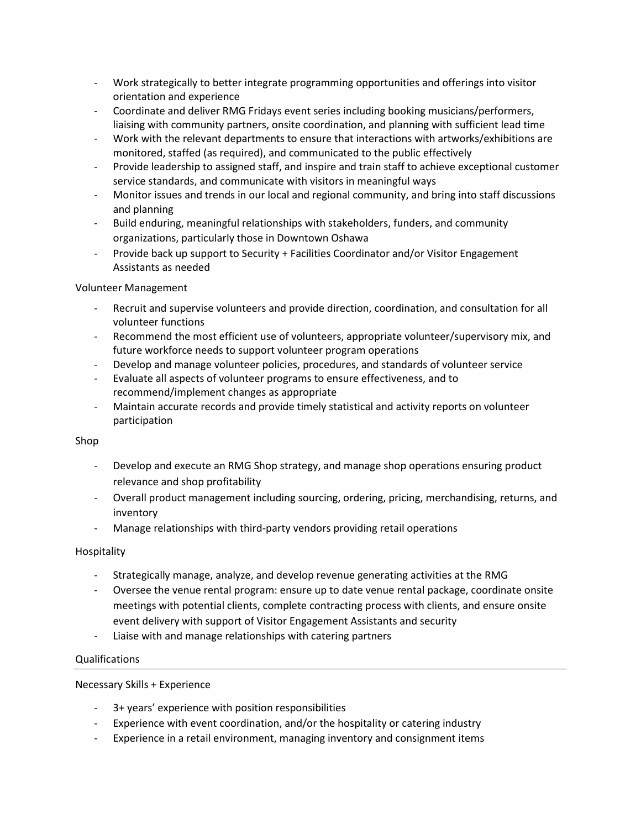- Work strategically to better integrate programming opportunities and offerings into visitor orientation and experience
- Coordinate and deliver RMG Fridays event series including booking musicians/performers, liaising with community partners, onsite coordination, and planning with sufficient lead time
- Work with the relevant departments to ensure that interactions with artworks/exhibitions are monitored, staffed (as required), and communicated to the public effectively
- Provide leadership to assigned staff, and inspire and train staff to achieve exceptional customer service standards, and communicate with visitors in meaningful ways
- Monitor issues and trends in our local and regional community, and bring into staff discussions and planning
- Build enduring, meaningful relationships with stakeholders, funders, and community organizations, particularly those in Downtown Oshawa
- Provide back up support to Security + Facilities Coordinator and/or Visitor Engagement Assistants as needed

# Volunteer Management

- Recruit and supervise volunteers and provide direction, coordination, and consultation for all volunteer functions
- Recommend the most efficient use of volunteers, appropriate volunteer/supervisory mix, and future workforce needs to support volunteer program operations
- Develop and manage volunteer policies, procedures, and standards of volunteer service
- Evaluate all aspects of volunteer programs to ensure effectiveness, and to recommend/implement changes as appropriate
- Maintain accurate records and provide timely statistical and activity reports on volunteer participation

# Shop

- Develop and execute an RMG Shop strategy, and manage shop operations ensuring product relevance and shop profitability
- Overall product management including sourcing, ordering, pricing, merchandising, returns, and inventory
- Manage relationships with third-party vendors providing retail operations

# Hospitality

- Strategically manage, analyze, and develop revenue generating activities at the RMG
- Oversee the venue rental program: ensure up to date venue rental package, coordinate onsite meetings with potential clients, complete contracting process with clients, and ensure onsite event delivery with support of Visitor Engagement Assistants and security
- Liaise with and manage relationships with catering partners

# Qualifications

# Necessary Skills + Experience

- 3+ years' experience with position responsibilities
- Experience with event coordination, and/or the hospitality or catering industry
- Experience in a retail environment, managing inventory and consignment items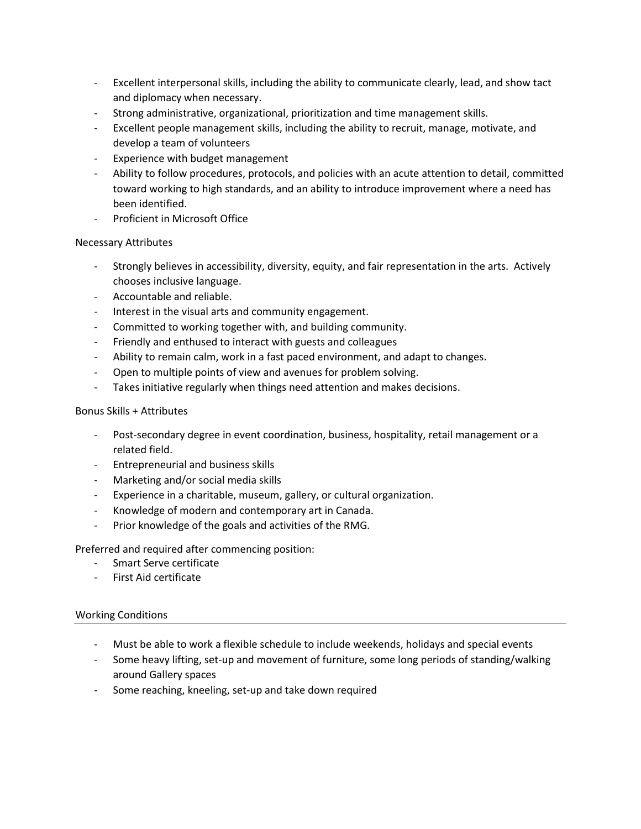- Excellent interpersonal skills, including the ability to communicate clearly, lead, and show tact and diplomacy when necessary.
- Strong administrative, organizational, prioritization and time management skills.
- Excellent people management skills, including the ability to recruit, manage, motivate, and develop a team of volunteers
- Experience with budget management
- Ability to follow procedures, protocols, and policies with an acute attention to detail, committed toward working to high standards, and an ability to introduce improvement where a need has been identified.
- Proficient in Microsoft Office

#### Necessary Attributes

- Strongly believes in accessibility, diversity, equity, and fair representation in the arts. Actively chooses inclusive language.
- Accountable and reliable.
- Interest in the visual arts and community engagement.
- Committed to working together with, and building community.
- Friendly and enthused to interact with guests and colleagues
- Ability to remain calm, work in a fast paced environment, and adapt to changes.
- Open to multiple points of view and avenues for problem solving.
- Takes initiative regularly when things need attention and makes decisions.

#### Bonus Skills + Attributes

- Post-secondary degree in event coordination, business, hospitality, retail management or a related field.
- Entrepreneurial and business skills
- Marketing and/or social media skills
- Experience in a charitable, museum, gallery, or cultural organization.
- Knowledge of modern and contemporary art in Canada.
- Prior knowledge of the goals and activities of the RMG.

Preferred and required after commencing position:

- Smart Serve certificate
- First Aid certificate

# Working Conditions

- Must be able to work a flexible schedule to include weekends, holidays and special events
- Some heavy lifting, set-up and movement of furniture, some long periods of standing/walking around Gallery spaces
- Some reaching, kneeling, set-up and take down required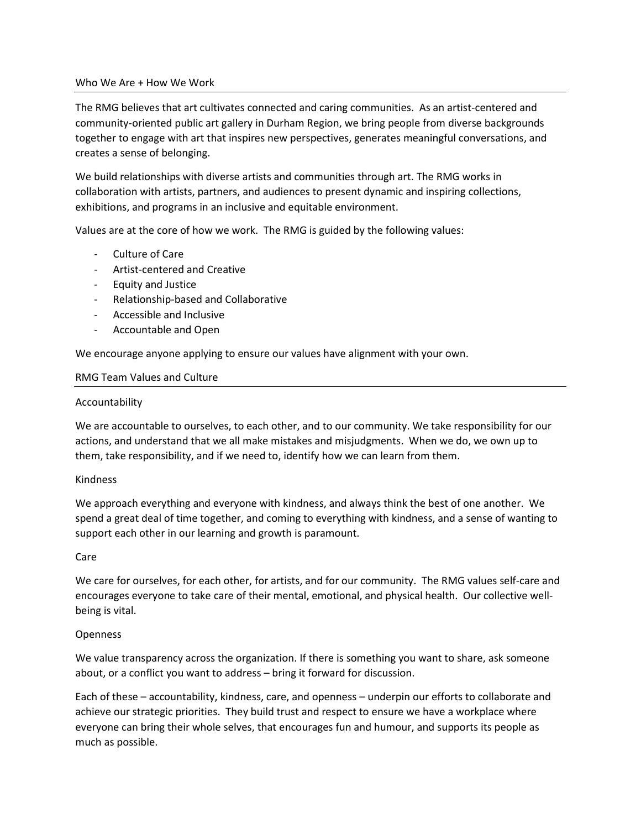#### Who We Are + How We Work

The RMG believes that art cultivates connected and caring communities. As an artist-centered and community-oriented public art gallery in Durham Region, we bring people from diverse backgrounds together to engage with art that inspires new perspectives, generates meaningful conversations, and creates a sense of belonging.

We build relationships with diverse artists and communities through art. The RMG works in collaboration with artists, partners, and audiences to present dynamic and inspiring collections, exhibitions, and programs in an inclusive and equitable environment.

Values are at the core of how we work. The RMG is guided by the following values:

- Culture of Care
- Artist-centered and Creative
- Equity and Justice
- Relationship-based and Collaborative
- Accessible and Inclusive
- Accountable and Open

We encourage anyone applying to ensure our values have alignment with your own.

#### RMG Team Values and Culture

#### Accountability

We are accountable to ourselves, to each other, and to our community. We take responsibility for our actions, and understand that we all make mistakes and misjudgments. When we do, we own up to them, take responsibility, and if we need to, identify how we can learn from them.

# Kindness

We approach everything and everyone with kindness, and always think the best of one another. We spend a great deal of time together, and coming to everything with kindness, and a sense of wanting to support each other in our learning and growth is paramount.

#### Care

We care for ourselves, for each other, for artists, and for our community. The RMG values self-care and encourages everyone to take care of their mental, emotional, and physical health. Our collective wellbeing is vital.

# Openness

We value transparency across the organization. If there is something you want to share, ask someone about, or a conflict you want to address – bring it forward for discussion.

Each of these – accountability, kindness, care, and openness – underpin our efforts to collaborate and achieve our strategic priorities. They build trust and respect to ensure we have a workplace where everyone can bring their whole selves, that encourages fun and humour, and supports its people as much as possible.